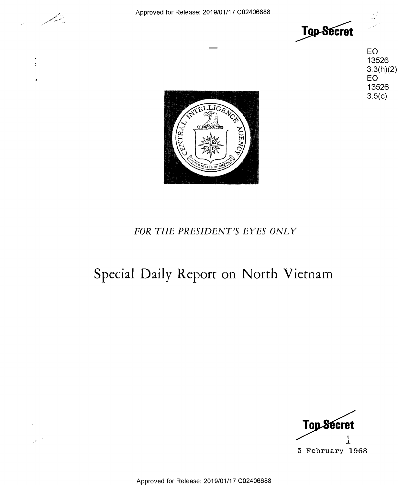

 $\bar{1}$ 



EO 13526 13526

EO 13526

3.3(h)(2)<br>EO<br>13526

 $3.5(c)$ 



## *FOR THE PRESIDENT'S EYES ONLY*  FOR THE PRESIDENT'S EYES ONLY

## **Special Daily Report on North Vietnam**  Special Daily Report on North Vietnam



Approved for Release: 2019/01/17 C02406688 Approved for Release: 2019/01/17 002406688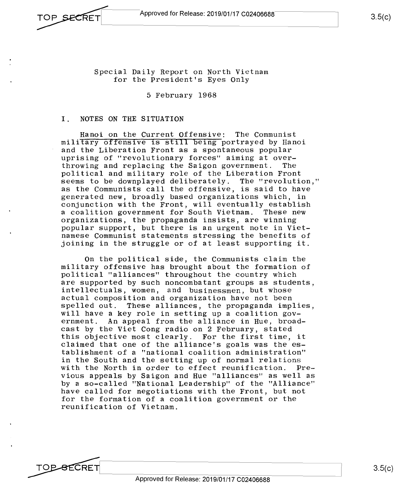Special Daily Report on North Vietnam Special Daily Report on North Vietnam

for the President's Eyes Only for the President's Eyes Only

5 February 1968 5 February 1968

## I. NOTES ON THE SITUATION 1. NOTES ON THE SITUATION

Hanoi on the Current Offensive: The Communist Hanoi on the Current Offensive: The Communist military offensive is still being portrayed by Hanoi and the Liberation Front as a spontaneous popular and the Liberation Front as <sup>a</sup> Spontaneous popular uprising of "revolutionary forces" aiming at over-uprising of "revolutionary forces" aiming at over throwing and replacing the Saigon government. The throwing and replacing the Saigon government. The political and military role of the Liberation Front political and military role of the Liberation Front seems to be downplayed deliberately. The "revolution," seems to be downplayed deliberately. The "revolution," as the Communists call the offensive, is said to have as the Communists call the offensive, is said to have generated new, broadly based organizations which, in generated new, broadly based organizations which, in generated head, security same a signal measurement, in the conjunction with the Front, will eventually establish a coalition government for South Vietnam. These new <sup>a</sup> coalition government for South Vietnam. These new organizations, the propaganda insists, are winning organizations, the propaganda insists, are winning popular support, but there is an urgent note in Viet-popular support, but there is an urgent note in Viet namese Communist statements stressing the benefits of namese Communist statements stressing the benefits of joining in the struggle or of at least supporting it. joining in the struggle or of at least supporting it.

On the political side, the Communists claim the On the political side, the Communists claim the military offensive has brought about the formation of military offensive has brought about the formation of political "alliances" throughout the country which political "alliances" throughout the country which are supported by such noncombatant groups as students, are supported by such noncombatant groups as students, intellectuals, women, and businessmen, but whose intellectuals, women, zuui businessmen, but whose actual composition and organization have not been actual composition and organization have not been spelled out. These alliances, the propaganda implies, spelled out. These alliances, the propaganda implies, will have a key role in setting up a coalition gov-will have <sup>a</sup> key role in setting up <sup>a</sup> coalition government. An appeal from the alliance in Hue, broad-ernment. An appeal from the alliance in Hue, broad cast by the Viet Cong radio on 2 February, stated cast by the Viet Cong radio on 2 February, stated this objective most clearly. For the first time, it this objective most clearly. For the first time, it claimed that one of the alliance's goals was the es-claimed that one of the alliance's goals was the es tablishment of a "national coalition administration" tablishment of a "national coalition administration" in the South and the setting up of normal relations with the North in order to effect reunification. Pre-with the North in order to effect reunification. Pre~ vious appeals by Saigon and Hue "alliances" as well as vious appeals by Saigon and Hue "alliances" as well as by a so-called "National Leadership" of the "Alliance" by <sup>a</sup> so—called "National Leadership" of the "Alliance" have called for negotiations with the Front, but not have called for negotiations with the Front, but not for the formation of a coalition government or the for the formation of <sup>a</sup> coalition government or the reunification of Vietnam. reunification of Vietnam.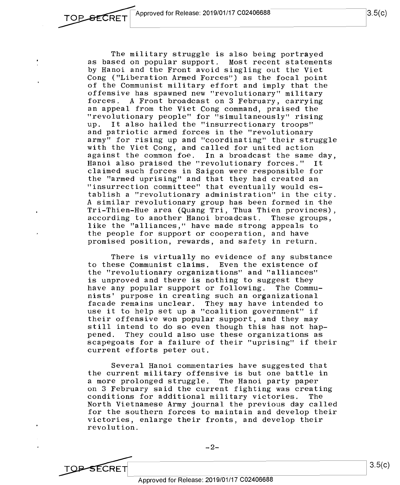The military struggle is also being portrayed The military struggle is also being portrayed as based on popular support. Most recent statements as based on popular support. Most recent statements by Hanoi and the Front avoid singling out the Viet by Hanoi and the Front avoid singling out the Viet Cong ("Liberation Armed Forces") as the focal point Cong ("Liberation Armed Forces") as the focal point of the Communist military effort and imply that the of the Communist military effort and imply that the offensive has spawned new "revolutionary" military offensive has spawned new "revolutionary" military forces. A Front broadcast on 3 February, carrying forces. A Front broadcast on 3 February, carrying an appeal from the Viet Cong command, praised the an appeal from the Viet Cong command, praised the "revolutionary people" for "simultaneously" rising "revolutionary people" for "simultaneously" rising up. It also hailed the "insurrectionary troops" up. It also hailed the "insurrectionary troops" and patriotic armed forces in the "revolutionary and patriotic armed forces in the "revolutionary army" for rising up and "coordinating" their struggle army" for rising up and "coordinating" their struggle with the Viet Cong, and called for united action against the common foe. In a broadcast the same day, against the common foe. In <sup>a</sup> broadcast the same day, Hanoi also praised the "revolutionary forces." It Hanoi also praised the "revolutionary forces." It claimed such forces in Saigon were responsible for claimed such forces in Saigon were responsible for the "armed uprising" and that they had created an the "armed uprising" and that they had created an "insurrection committee" that eventually would es-"insurrection committee" that eventually would es tablish a "revolutionary administration" in the city. tablish <sup>a</sup> "revolutionary administration" in the city. A similar revolutionary group has been formed in the Tri-Thien-Hue area (Quang Tri, Thua Thien provinces), Tri-Thien—Hue area (Quang Tri, Thua Thien provinces), according to another Hanoi broadcast. These groups, according to another Hanoi broadcast. These groups, like the "alliances," have made strong appeals to like the "alliances," have made strong appeals to the people for support or cooperation, and have the people for support or cooperation, and have promised position, rewards, and safety in return. promised position, rewards, and safety in return.

There is virtually no evidence of any substance There is virtually no evidence of any substance to these Communist claims. Even the existence of to these Communist claims. Even the existence of the "revolutionary organizations" and "alliances" the "revolutionary organizations" and "alliances" is unproved and there is nothing to suggest they is unproved and there is nothing to suggest they have any popular support or following. The Commu-have any popular support or following. The Commu~ nists' purpose in creating such an organizational nists' purpose in creating such an organizational facade remains unclear. They may have intended to facade remains unclear. They may have intended to use it to help set up a "coalition government" if use it to help set up <sup>a</sup> "coalition government" if their offensive won popular support, and they may their offensive won popular support, and they may still intend to do so even though this has not hap-still intend to do so even though this has not happened. They could also use these organizations as pened. They could also use these organizations as scapegoats for a failure of their "uprising" if their scapegoats for <sup>a</sup> failure of their "uprising" if their current efforts peter out. current efforts peter out.

Several Hanoi commentaries have suggested that Several Hanoi commentaries have suggested that the current military offensive is but one battle in the current military offensive is but one battle in a more prolonged struggle. The Hanoi party paper <sup>a</sup> more prolonged struggle. The Hanoi party paper on 3 February said the current fighting was creating on 3 February said the current fighting was creating conditions for additional military victories. The conditions for additional military victories. The North Vietnamese Army journal the previous day called North Vietnamese Army journal the previous day called for the southern forces to maintain and develop their for the southern forces to maintain and develop their victories, enlarge their fronts, and develop their victories, enlarge their fronts, and deve10p their revolution. revolution.

TOP-SECRET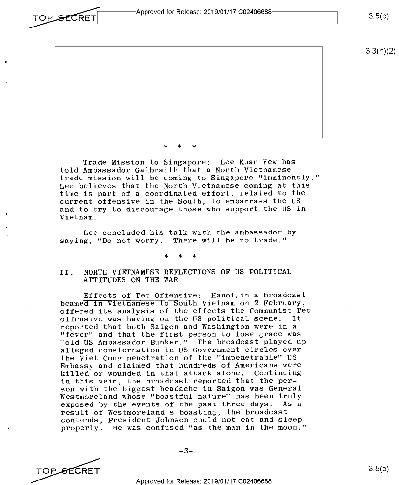TOP\_SECRET Approved for Release: 2019/01/17 C02406688-

 $3.5(c)$ 

 $3.3(h)(2)$ 

\* \* \* \*\* \*

Trade Mission to Singapore: Lee Kuan Yew has Trade Mission to Singapore: Lee Kuan Yew has told Ambassador Galbraith that a North Vietnamese trade mission will be coming to Singapore "imminently." trade mission will be coming to Singapore "imminently." Lee believes that the North Vietnamese coming at this Lee believes that the North Vietnamese coming at this time is part of a coordinated effort, related to the time is part of <sup>a</sup> coordinated effort, related to the current offensive in the South, to embarrass the US current offensive in the South, to embarrass the US and to try to discourage those who support the US in and to try to discourage those who support the US in Vietnam. Vietnam.

Lee concluded his talk with the ambassador by Lee concluded his talk with the ambassador by saying, "Do not worry. There will be no trade." saying, "Do not worry. There will be no trade."

> \* \* \* >l< \* >l<

II. NORTH VIETNAMESE REFLECTIONS OF US POLITICAL II. NORTH VIETNAMESE REFLECTIONS OF US POLITICAL ATTITUDES ON THE WAR ATTITUDES ON THE WAR

Effects of Tet Offensive: Hanoi, in a broadcast Effects of Tet Offensive: Hanoi,in <sup>a</sup> broadcast beamed in Vietnamese to South Vietnam on 2 February, beamed in Vietnamese to South Vietnam on 2 February, offered its analysis of the effects the Communist Tet offered its analysis of the effects the Communist Tet offensive was having on the US political scene. It offensive was having on the US political scene. It reported that both Saigon and Washington were in a reported that both Saigon and Washington were in <sup>a</sup> "fever" and that the first person to lose grace was "fever" and that the first person to lose grace was "old US Ambassador Bunker." The broadcast played up "old US Ambassador Bunker." The broadcast played up alleged consternation in US Government circles over alleged consternation in US Government circles over the Viet Cong penetration of the "impenetrable" US the Viet Cong penetration of the "impenetrable" US Embassy and claimed that hundreds of Americans were Embassy and claimed that hundreds of Americans were killed or wounded in that attack alone. Continuing killed or wounded in that attack alone. Continuing in this vein, the broadcast reported that the per-in this vein, the broadcast reported that the per son with the biggest headache in Saigon was General son with the biggest headache in Saigon was General Westmoreland whose "boastful nature" has been truly Westmoreland whose "boastful nature" has been truly exposed by the events of the past three days. As a exposed by the events of the past three days. As <sup>a</sup> result of Westmoreland's boasting, the broadcast result of Westmoreland's boasting, the broadcast contends, President Johnson could not eat and sleep contends, President Johnson could not eat and sleep properly. He was confused "as the man in the moon." properly. He was confused "as the man in the moon."